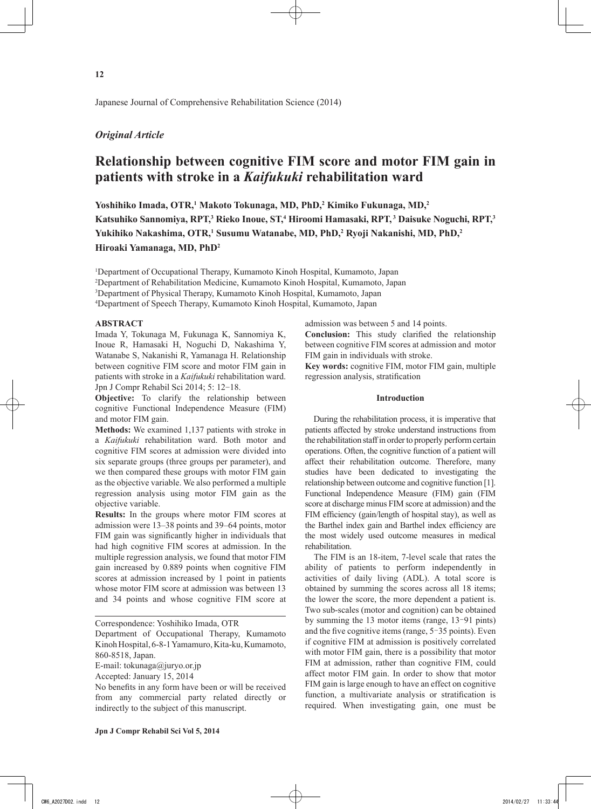Japanese Journal of Comprehensive Rehabilitation Science (2014)

# *Original Article*

# **Relationship between cognitive FIM score and motor FIM gain in patients with stroke in a** *Kaifukuki* **rehabilitation ward**

Yoshihiko Imada, OTR,<sup>1</sup> Makoto Tokunaga, MD, PhD,<sup>2</sup> Kimiko Fukunaga, MD,<sup>2</sup> Katsuhiko Sannomiya, RPT,<sup>3</sup> Rieko Inoue, ST,<sup>4</sup> Hiroomi Hamasaki, RPT,<sup>3</sup> Daisuke Noguchi, RPT,<sup>3</sup> **Yukihiko Nakashima, OTR,1 Susumu Watanabe, MD, PhD,2 Ryoji Nakanishi, MD, PhD,2 Hiroaki Yamanaga, MD, PhD2**

 Department of Occupational Therapy, Kumamoto Kinoh Hospital, Kumamoto, Japan Department of Rehabilitation Medicine, Kumamoto Kinoh Hospital, Kumamoto, Japan Department of Physical Therapy, Kumamoto Kinoh Hospital, Kumamoto, Japan Department of Speech Therapy, Kumamoto Kinoh Hospital, Kumamoto, Japan

## **ABSTRACT**

Imada Y, Tokunaga M, Fukunaga K, Sannomiya K, Inoue R, Hamasaki H, Noguchi D, Nakashima Y, Watanabe S, Nakanishi R, Yamanaga H. Relationship between cognitive FIM score and motor FIM gain in patients with stroke in a *Kaifukuki* rehabilitation ward. Jpn J Compr Rehabil Sci 2014; 5: 12-18.

**Objective:** To clarify the relationship between cognitive Functional Independence Measure (FIM) and motor FIM gain.

**Methods:** We examined 1,137 patients with stroke in a *Kaifukuki* rehabilitation ward. Both motor and cognitive FIM scores at admission were divided into six separate groups (three groups per parameter), and we then compared these groups with motor FIM gain as the objective variable. We also performed a multiple regression analysis using motor FIM gain as the objective variable.

**Results:** In the groups where motor FIM scores at admission were 13–38 points and 39–64 points, motor FIM gain was significantly higher in individuals that had high cognitive FIM scores at admission. In the multiple regression analysis, we found that motor FIM gain increased by 0.889 points when cognitive FIM scores at admission increased by 1 point in patients whose motor FIM score at admission was between 13 and 34 points and whose cognitive FIM score at

E-mail: tokunaga@juryo.or.jp

admission was between 5 and 14 points.

**Conclusion:** This study clarified the relationship between cognitive FIM scores at admission and motor FIM gain in individuals with stroke.

**Key words:** cognitive FIM, motor FIM gain, multiple regression analysis, stratification

## **Introduction**

During the rehabilitation process, it is imperative that patients affected by stroke understand instructions from the rehabilitation staff in order to properly perform certain operations. Often, the cognitive function of a patient will affect their rehabilitation outcome. Therefore, many studies have been dedicated to investigating the relationship between outcome and cognitive function [1]. Functional Independence Measure (FIM) gain (FIM score at discharge minus FIM score at admission) and the FIM efficiency (gain/length of hospital stay), as well as the Barthel index gain and Barthel index efficiency are the most widely used outcome measures in medical rehabilitation.

The FIM is an 18-item, 7-level scale that rates the ability of patients to perform independently in activities of daily living (ADL). A total score is obtained by summing the scores across all 18 items; the lower the score, the more dependent a patient is. Two sub-scales (motor and cognition) can be obtained by summing the 13 motor items (range, 13<sup>-91</sup> pints) and the five cognitive items (range, 5︱35 points). Even if cognitive FIM at admission is positively correlated with motor FIM gain, there is a possibility that motor FIM at admission, rather than cognitive FIM, could affect motor FIM gain. In order to show that motor FIM gain is large enough to have an effect on cognitive function, a multivariate analysis or stratification is required. When investigating gain, one must be

Correspondence: Yoshihiko Imada, OTR

Department of Occupational Therapy, Kumamoto Kinoh Hospital, 6-8-1 Yamamuro, Kita-ku, Kumamoto, 860-8518, Japan.

Accepted: January 15, 2014

No benefits in any form have been or will be received from any commercial party related directly or indirectly to the subject of this manuscript.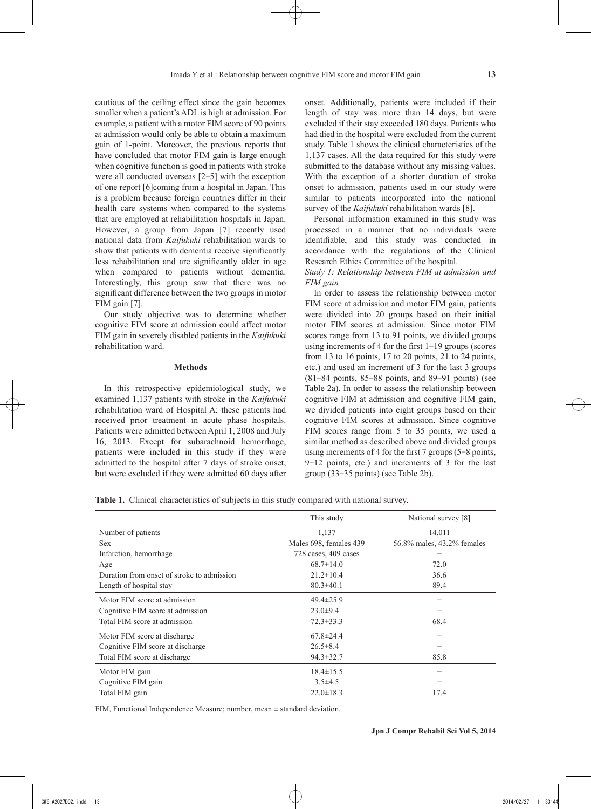cautious of the ceiling effect since the gain becomes smaller when a patient's ADL is high at admission. For example, a patient with a motor FIM score of 90 points at admission would only be able to obtain a maximum gain of 1-point. Moreover, the previous reports that have concluded that motor FIM gain is large enough when cognitive function is good in patients with stroke were all conducted overseas [2-5] with the exception of one report [6]coming from a hospital in Japan. This is a problem because foreign countries differ in their health care systems when compared to the systems that are employed at rehabilitation hospitals in Japan. However, a group from Japan [7] recently used national data from *Kaifukuki* rehabilitation wards to show that patients with dementia receive significantly less rehabilitation and are significantly older in age when compared to patients without dementia. Interestingly, this group saw that there was no significant difference between the two groups in motor FIM gain [7].

Our study objective was to determine whether cognitive FIM score at admission could affect motor FIM gain in severely disabled patients in the *Kaifukuki* rehabilitation ward.

#### **Methods**

In this retrospective epidemiological study, we examined 1,137 patients with stroke in the *Kaifukuki*  rehabilitation ward of Hospital A; these patients had received prior treatment in acute phase hospitals. Patients were admitted between April 1, 2008 and July 16, 2013. Except for subarachnoid hemorrhage, patients were included in this study if they were admitted to the hospital after 7 days of stroke onset, but were excluded if they were admitted 60 days after onset. Additionally, patients were included if their length of stay was more than 14 days, but were excluded if their stay exceeded 180 days. Patients who had died in the hospital were excluded from the current study. Table 1 shows the clinical characteristics of the 1,137 cases. All the data required for this study were submitted to the database without any missing values. With the exception of a shorter duration of stroke onset to admission, patients used in our study were similar to patients incorporated into the national survey of the *Kaifukuki* rehabilitation wards [8].

Personal information examined in this study was processed in a manner that no individuals were identifiable, and this study was conducted in accordance with the regulations of the Clinical Research Ethics Committee of the hospital.

*Study 1: Relationship between FIM at admission and FIM gain*

In order to assess the relationship between motor FIM score at admission and motor FIM gain, patients were divided into 20 groups based on their initial motor FIM scores at admission. Since motor FIM scores range from 13 to 91 points, we divided groups using increments of 4 for the first 1-19 groups (scores from 13 to 16 points, 17 to 20 points, 21 to 24 points, etc.) and used an increment of 3 for the last 3 groups (81-84 points, 85-88 points, and 89-91 points) (see Table 2a). In order to assess the relationship between cognitive FIM at admission and cognitive FIM gain, we divided patients into eight groups based on their cognitive FIM scores at admission. Since cognitive FIM scores range from 5 to 35 points, we used a similar method as described above and divided groups using increments of 4 for the first 7 groups (5-8 points, 9-12 points, etc.) and increments of 3 for the last group (33-35 points) (see Table 2b).

**Table 1.** Clinical characteristics of subjects in this study compared with national survey.

|                                            | This study             | National survey [8]        |
|--------------------------------------------|------------------------|----------------------------|
| Number of patients                         | 1,137                  | 14,011                     |
| <b>Sex</b>                                 | Males 698, females 439 | 56.8% males, 43.2% females |
| Infarction, hemorrhage                     | 728 cases, 409 cases   |                            |
| Age                                        | $68.7 \pm 14.0$        | 72.0                       |
| Duration from onset of stroke to admission | $21.2 \pm 10.4$        | 36.6                       |
| Length of hospital stay                    | $80.3 \pm 40.1$        | 89.4                       |
| Motor FIM score at admission               | $49.4 \pm 25.9$        |                            |
| Cognitive FIM score at admission           | $23.0 \pm 9.4$         |                            |
| Total FIM score at admission               | $72.3 \pm 33.3$        | 68.4                       |
| Motor FIM score at discharge               | $67.8 \pm 24.4$        |                            |
| Cognitive FIM score at discharge           | $26.5 \pm 8.4$         |                            |
| Total FIM score at discharge               | $94.3 \pm 32.7$        | 85.8                       |
| Motor FIM gain                             | $18.4 \pm 15.5$        |                            |
| Cognitive FIM gain                         | $3.5\pm4.5$            |                            |
| Total FIM gain                             | $22.0 \pm 18.3$        | 17.4                       |

FIM, Functional Independence Measure; number, mean ± standard deviation.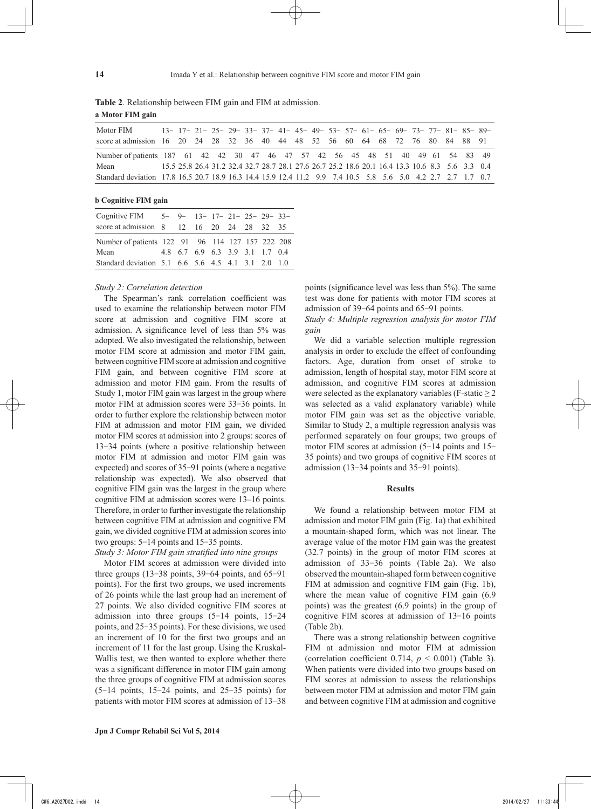| Motor FIM                                                                                                    |  |  |  |  |  |  | 13-17-21-25-29-33-37-41-45-49-53-57-61-65-69-73-77-81-85-89-                                    |  |  |  |  |
|--------------------------------------------------------------------------------------------------------------|--|--|--|--|--|--|-------------------------------------------------------------------------------------------------|--|--|--|--|
| score at admission 16 20 24 28 32 36 40 44 48 52 56 60 64 68 72 76 80 84 88 91                               |  |  |  |  |  |  |                                                                                                 |  |  |  |  |
| Number of patients 187 61 42 42 30 47 46 47 57 42 56 45 48 51 40 49 61 54 83 49                              |  |  |  |  |  |  |                                                                                                 |  |  |  |  |
| Mean                                                                                                         |  |  |  |  |  |  | 15.5 25.8 26.4 31.2 32.4 32.7 28.7 28.1 27.6 26.7 25.2 18.6 20.1 16.4 13.3 10.6 8.3 5.6 3.3 0.4 |  |  |  |  |
| Standard deviation 17.8 16.5 20.7 18.9 16.3 14.4 15.9 12.4 11.2 9.9 7.4 10.5 5.8 5.6 5.0 4.2 2.7 2.7 1.7 0.7 |  |  |  |  |  |  |                                                                                                 |  |  |  |  |

**Table 2**. Relationship between FIM gain and FIM at admission. **a Motor FIM gain**

**b Cognitive FIM gain**

| Cognitive FIM 5- 9- 13- 17- 21- 25- 29- 33-        |  |                                 |  |  |  |
|----------------------------------------------------|--|---------------------------------|--|--|--|
| score at admission 8 12 16 20 24 28 32 35          |  |                                 |  |  |  |
| Number of patients 122 91 96 114 127 157 222 208   |  |                                 |  |  |  |
| Mean                                               |  | 4.8 6.7 6.9 6.3 3.9 3.1 1.7 0.4 |  |  |  |
| Standard deviation 5.1 6.6 5.6 4.5 4.1 3.1 2.0 1.0 |  |                                 |  |  |  |

#### *Study 2: Correlation detection*

The Spearman's rank correlation coefficient was used to examine the relationship between motor FIM score at admission and cognitive FIM score at admission. A significance level of less than 5% was adopted. We also investigated the relationship, between motor FIM score at admission and motor FIM gain, between cognitive FIM score at admission and cognitive FIM gain, and between cognitive FIM score at admission and motor FIM gain. From the results of Study 1, motor FIM gain was largest in the group where motor FIM at admission scores were 33-36 points. In order to further explore the relationship between motor FIM at admission and motor FIM gain, we divided motor FIM scores at admission into 2 groups: scores of 13-34 points (where a positive relationship between motor FIM at admission and motor FIM gain was expected) and scores of 35-91 points (where a negative relationship was expected). We also observed that cognitive FIM gain was the largest in the group where cognitive FIM at admission scores were 13–16 points. Therefore, in order to further investigate the relationship between cognitive FIM at admission and cognitive FM gain, we divided cognitive FIM at admission scores into two groups: 5-14 points and 15-35 points. *Study 3: Motor FIM gain stratified into nine groups*

Motor FIM scores at admission were divided into three groups  $(13-38 \text{ points}, 39-64 \text{ points}, \text{ and } 65-91 \text{)}$ points). For the first two groups, we used increments of 26 points while the last group had an increment of 27 points. We also divided cognitive FIM scores at admission into three groups (5-14 points, 15-24 points, and 25-35 points). For these divisions, we used an increment of 10 for the first two groups and an increment of 11 for the last group. Using the Kruskal-Wallis test, we then wanted to explore whether there was a significant difference in motor FIM gain among the three groups of cognitive FIM at admission scores  $(5-14 \text{ points}, 15-24 \text{ points}, \text{ and } 25-35 \text{ points})$  for patients with motor FIM scores at admission of 13–38 points (significance level was less than 5%). The same test was done for patients with motor FIM scores at admission of 39-64 points and 65-91 points.

*Study 4: Multiple regression analysis for motor FIM gain*

We did a variable selection multiple regression analysis in order to exclude the effect of confounding factors. Age, duration from onset of stroke to admission, length of hospital stay, motor FIM score at admission, and cognitive FIM scores at admission were selected as the explanatory variables (F-static  $\geq 2$ ) was selected as a valid explanatory variable) while motor FIM gain was set as the objective variable. Similar to Study 2, a multiple regression analysis was performed separately on four groups; two groups of motor FIM scores at admission (5-14 points and 15- 35 points) and two groups of cognitive FIM scores at admission (13-34 points and 35-91 points).

#### **Results**

We found a relationship between motor FIM at admission and motor FIM gain (Fig. 1a) that exhibited a mountain-shaped form, which was not linear. The average value of the motor FIM gain was the greatest (32.7 points) in the group of motor FIM scores at admission of 33-36 points (Table 2a). We also observed the mountain-shaped form between cognitive FIM at admission and cognitive FIM gain (Fig. 1b), where the mean value of cognitive FIM gain (6.9 points) was the greatest (6.9 points) in the group of cognitive FIM scores at admission of 13-16 points (Table 2b).

There was a strong relationship between cognitive FIM at admission and motor FIM at admission (correlation coefficient 0.714,  $p < 0.001$ ) (Table 3). When patients were divided into two groups based on FIM scores at admission to assess the relationships between motor FIM at admission and motor FIM gain and between cognitive FIM at admission and cognitive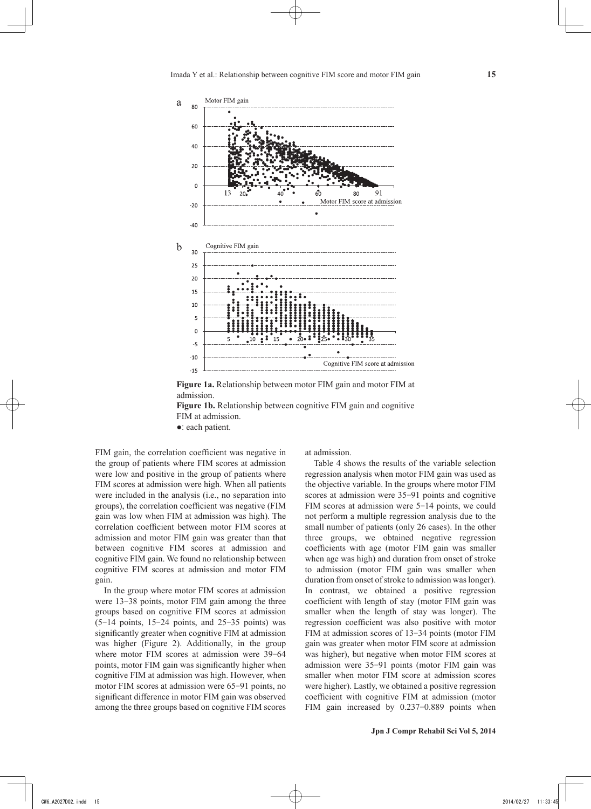

**Figure 1a.** Relationship between motor FIM gain and motor FIM at admission.

**Figure 1b.** Relationship between cognitive FIM gain and cognitive FIM at admission.

●: each patient.

FIM gain, the correlation coefficient was negative in the group of patients where FIM scores at admission were low and positive in the group of patients where FIM scores at admission were high. When all patients were included in the analysis (i.e., no separation into groups), the correlation coefficient was negative (FIM gain was low when FIM at admission was high). The correlation coefficient between motor FIM scores at admission and motor FIM gain was greater than that between cognitive FIM scores at admission and cognitive FIM gain. We found no relationship between cognitive FIM scores at admission and motor FIM gain.

In the group where motor FIM scores at admission were 13-38 points, motor FIM gain among the three groups based on cognitive FIM scores at admission  $(5-14 \text{ points}, 15-24 \text{ points}, \text{ and } 25-35 \text{ points})$  was significantly greater when cognitive FIM at admission was higher (Figure 2). Additionally, in the group where motor FIM scores at admission were 39-64 points, motor FIM gain was significantly higher when cognitive FIM at admission was high. However, when motor FIM scores at admission were 65-91 points, no significant difference in motor FIM gain was observed among the three groups based on cognitive FIM scores at admission.

Table 4 shows the results of the variable selection regression analysis when motor FIM gain was used as the objective variable. In the groups where motor FIM scores at admission were 35-91 points and cognitive FIM scores at admission were 5-14 points, we could not perform a multiple regression analysis due to the small number of patients (only 26 cases). In the other three groups, we obtained negative regression coefficients with age (motor FIM gain was smaller when age was high) and duration from onset of stroke to admission (motor FIM gain was smaller when duration from onset of stroke to admission was longer). In contrast, we obtained a positive regression coefficient with length of stay (motor FIM gain was smaller when the length of stay was longer). The regression coefficient was also positive with motor FIM at admission scores of 13-34 points (motor FIM gain was greater when motor FIM score at admission was higher), but negative when motor FIM scores at admission were 35-91 points (motor FIM gain was smaller when motor FIM score at admission scores were higher). Lastly, we obtained a positive regression coefficient with cognitive FIM at admission (motor FIM gain increased by 0.237-0.889 points when

**15**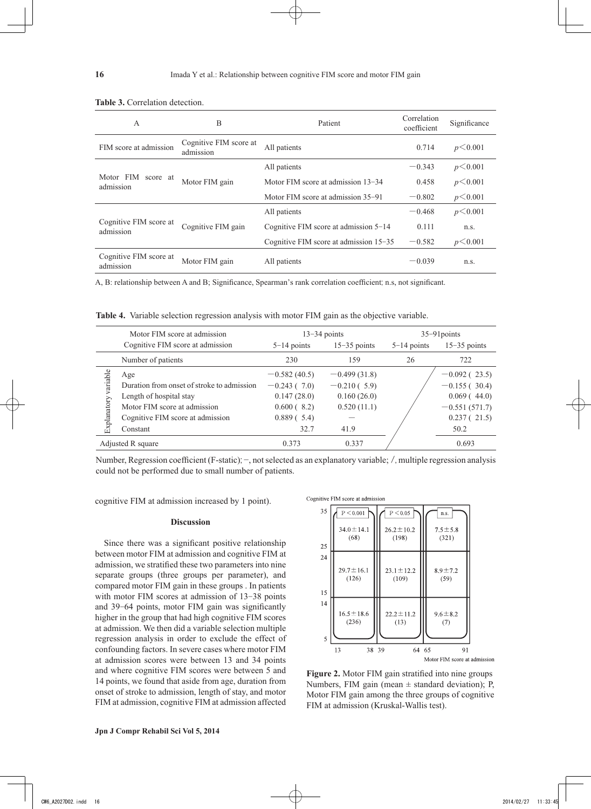| A                                   | B                                   | Patient                                 | Correlation<br>coefficient | Significance |
|-------------------------------------|-------------------------------------|-----------------------------------------|----------------------------|--------------|
| FIM score at admission              | Cognitive FIM score at<br>admission | All patients                            | 0.714                      | p < 0.001    |
|                                     |                                     | All patients                            | $-0.343$                   | p < 0.001    |
| Motor FIM score at<br>admission     | Motor FIM gain                      | Motor FIM score at admission 13-34      | p < 0.001                  |              |
|                                     |                                     | Motor FIM score at admission 35–91      | $-0.802$                   | p < 0.001    |
|                                     |                                     | All patients                            | $-0.468$                   | p < 0.001    |
| Cognitive FIM score at<br>admission | Cognitive FIM gain                  | Cognitive FIM score at admission $5-14$ | 0.111                      | n.s.         |
|                                     |                                     | Cognitive FIM score at admission 15–35  | $-0.582$                   | p < 0.001    |
| Cognitive FIM score at<br>admission | Motor FIM gain                      | All patients                            | $-0.039$                   | n.s.         |

#### **Table 3.** Correlation detection.

A, B: relationship between A and B; Significance, Spearman's rank correlation coefficient; n.s, not significant.

**Table 4.** Variable selection regression analysis with motor FIM gain as the objective variable.

|                         | Motor FIM score at admission                                                                                                                                                      |                | $13-34$ points | $35 - 91$ points |                 |  |  |
|-------------------------|-----------------------------------------------------------------------------------------------------------------------------------------------------------------------------------|----------------|----------------|------------------|-----------------|--|--|
|                         | Cognitive FIM score at admission                                                                                                                                                  | $5-14$ points  | $15-35$ points | $5-14$ points    | $15-35$ points  |  |  |
|                         | Number of patients                                                                                                                                                                | 230            | 159            | 26               | 722             |  |  |
|                         | Age                                                                                                                                                                               | $-0.582(40.5)$ | $-0.499(31.8)$ |                  | $-0.092(23.5)$  |  |  |
| variable<br>Explanatory | Duration from onset of stroke to admission                                                                                                                                        | $-0.243(7.0)$  | $-0.210(5.9)$  |                  | $-0.155(30.4)$  |  |  |
|                         | Length of hospital stay                                                                                                                                                           | 0.147(28.0)    | 0.160(26.0)    |                  | 0.069(44.0)     |  |  |
|                         | Motor FIM score at admission                                                                                                                                                      | $0.600(-8.2)$  | 0.520(11.1)    |                  | $-0.551(571.7)$ |  |  |
|                         | Cognitive FIM score at admission                                                                                                                                                  | 0.889(5.4)     |                |                  | 0.237(21.5)     |  |  |
|                         | Constant                                                                                                                                                                          | 32.7           | 41.9           |                  | 50.2            |  |  |
|                         | Adjusted R square                                                                                                                                                                 | 0.373          | 0.337          |                  | 0.693           |  |  |
|                         | Number, Regression coefficient (F-static); –, not selected as an explanatory variable; /, multiple regression analysis<br>could not be performed due to small number of patients. |                |                |                  |                 |  |  |

cognitive FIM at admission increased by 1 point).

#### **Discussion**

Since there was a significant positive relationship between motor FIM at admission and cognitive FIM at admission, we stratified these two parameters into nine separate groups (three groups per parameter), and compared motor FIM gain in these groups . In patients with motor FIM scores at admission of 13-38 points and 39-64 points, motor FIM gain was significantly higher in the group that had high cognitive FIM scores at admission. We then did a variable selection multiple regression analysis in order to exclude the effect of confounding factors. In severe cases where motor FIM at admission scores were between 13 and 34 points and where cognitive FIM scores were between 5 and 14 points, we found that aside from age, duration from onset of stroke to admission, length of stay, and motor FIM at admission, cognitive FIM at admission affected



Figure 2. Motor FIM gain stratified into nine groups Numbers, FIM gain (mean  $\pm$  standard deviation); P, Motor FIM gain among the three groups of cognitive FIM at admission (Kruskal-Wallis test).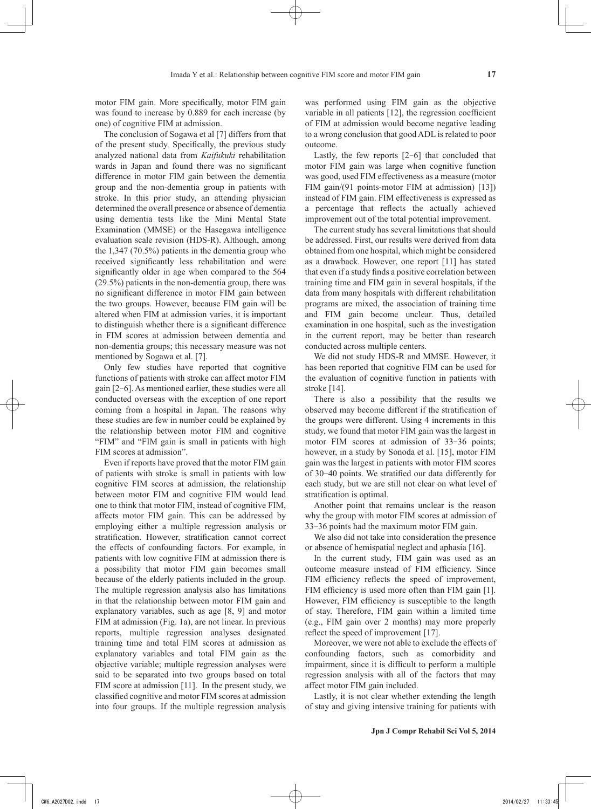motor FIM gain. More specifically, motor FIM gain was found to increase by 0.889 for each increase (by one) of cognitive FIM at admission.

The conclusion of Sogawa et al [7] differs from that of the present study. Specifically, the previous study analyzed national data from *Kaifukuki* rehabilitation wards in Japan and found there was no significant difference in motor FIM gain between the dementia group and the non-dementia group in patients with stroke. In this prior study, an attending physician determined the overall presence or absence of dementia using dementia tests like the Mini Mental State Examination (MMSE) or the Hasegawa intelligence evaluation scale revision (HDS-R). Although, among the 1,347 (70.5%) patients in the dementia group who received significantly less rehabilitation and were significantly older in age when compared to the 564 (29.5%) patients in the non-dementia group, there was no significant difference in motor FIM gain between the two groups. However, because FIM gain will be altered when FIM at admission varies, it is important to distinguish whether there is a significant difference in FIM scores at admission between dementia and non-dementia groups; this necessary measure was not mentioned by Sogawa et al. [7].

Only few studies have reported that cognitive functions of patients with stroke can affect motor FIM gain [2-6]. As mentioned earlier, these studies were all conducted overseas with the exception of one report coming from a hospital in Japan. The reasons why these studies are few in number could be explained by the relationship between motor FIM and cognitive "FIM" and "FIM gain is small in patients with high FIM scores at admission".

Even if reports have proved that the motor FIM gain of patients with stroke is small in patients with low cognitive FIM scores at admission, the relationship between motor FIM and cognitive FIM would lead one to think that motor FIM, instead of cognitive FIM, affects motor FIM gain. This can be addressed by employing either a multiple regression analysis or stratification. However, stratification cannot correct the effects of confounding factors. For example, in patients with low cognitive FIM at admission there is a possibility that motor FIM gain becomes small because of the elderly patients included in the group. The multiple regression analysis also has limitations in that the relationship between motor FIM gain and explanatory variables, such as age [8, 9] and motor FIM at admission (Fig. 1a), are not linear. In previous reports, multiple regression analyses designated training time and total FIM scores at admission as explanatory variables and total FIM gain as the objective variable; multiple regression analyses were said to be separated into two groups based on total FIM score at admission [11]. In the present study, we classified cognitive and motor FIM scores at admission into four groups. If the multiple regression analysis was performed using FIM gain as the objective variable in all patients [12], the regression coefficient of FIM at admission would become negative leading to a wrong conclusion that good ADL is related to poor outcome.

Lastly, the few reports [2-6] that concluded that motor FIM gain was large when cognitive function was good, used FIM effectiveness as a measure (motor FIM gain/(91 points-motor FIM at admission) [13]) instead of FIM gain. FIM effectiveness is expressed as a percentage that reflects the actually achieved improvement out of the total potential improvement.

The current study has several limitations that should be addressed. First, our results were derived from data obtained from one hospital, which might be considered as a drawback. However, one report [11] has stated that even if a study finds a positive correlation between training time and FIM gain in several hospitals, if the data from many hospitals with different rehabilitation programs are mixed, the association of training time and FIM gain become unclear. Thus, detailed examination in one hospital, such as the investigation in the current report, may be better than research conducted across multiple centers.

We did not study HDS-R and MMSE. However, it has been reported that cognitive FIM can be used for the evaluation of cognitive function in patients with stroke [14].

There is also a possibility that the results we observed may become different if the stratification of the groups were different. Using 4 increments in this study, we found that motor FIM gain was the largest in motor FIM scores at admission of 33-36 points; however, in a study by Sonoda et al. [15], motor FIM gain was the largest in patients with motor FIM scores of 30-40 points. We stratified our data differently for each study, but we are still not clear on what level of stratification is optimal.

Another point that remains unclear is the reason why the group with motor FIM scores at admission of 33-36 points had the maximum motor FIM gain.

We also did not take into consideration the presence or absence of hemispatial neglect and aphasia [16].

In the current study, FIM gain was used as an outcome measure instead of FIM efficiency. Since FIM efficiency reflects the speed of improvement, FIM efficiency is used more often than FIM gain [1]. However, FIM efficiency is susceptible to the length of stay. Therefore, FIM gain within a limited time (e.g., FIM gain over 2 months) may more properly reflect the speed of improvement [17].

Moreover, we were not able to exclude the effects of confounding factors, such as comorbidity and impairment, since it is difficult to perform a multiple regression analysis with all of the factors that may affect motor FIM gain included.

Lastly, it is not clear whether extending the length of stay and giving intensive training for patients with